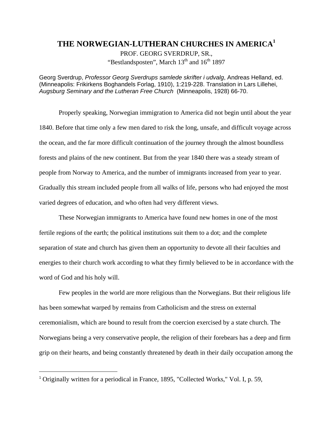## **THE NORWEGIAN-LUTHERAN CHURCHES IN AMERICA[1](#page-0-0)**

PROF. GEORG SVERDRUP, SR., "Bestlandsposten", March  $13<sup>th</sup>$  and  $16<sup>th</sup> 1897$ 

Georg Sverdrup, *Professor Georg Sverdrups samlede skrifter i udvalg*, Andreas Helland, ed. (Minneapolis: Frikirkens Boghandels Forlag, 1910), 1:219-228. Translation in Lars Lillehei, *Augsburg Seminary and the Lutheran Free Church* (Minneapolis, 1928) 66-70.

Properly speaking, Norwegian immigration to America did not begin until about the year 1840. Before that time only a few men dared to risk the long, unsafe, and difficult voyage across the ocean, and the far more difficult continuation of the journey through the almost boundless forests and plains of the new continent. But from the year 1840 there was a steady stream of people from Norway to America, and the number of immigrants increased from year to year. Gradually this stream included people from all walks of life, persons who had enjoyed the most varied degrees of education, and who often had very different views.

These Norwegian immigrants to America have found new homes in one of the most fertile regions of the earth; the political institutions suit them to a dot; and the complete separation of state and church has given them an opportunity to devote all their faculties and energies to their church work according to what they firmly believed to be in accordance with the word of God and his holy will.

Few peoples in the world are more religious than the Norwegians. But their religious life has been somewhat warped by remains from Catholicism and the stress on external ceremonialism, which are bound to result from the coercion exercised by a state church. The Norwegians being a very conservative people, the religion of their forebears has a deep and firm grip on their hearts, and being constantly threatened by death in their daily occupation among the

l

<span id="page-0-0"></span><sup>&</sup>lt;sup>1</sup> Originally written for a periodical in France, 1895, "Collected Works," Vol. I, p. 59,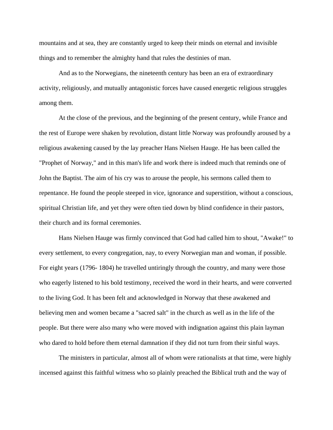mountains and at sea, they are constantly urged to keep their minds on eternal and invisible things and to remember the almighty hand that rules the destinies of man.

And as to the Norwegians, the nineteenth century has been an era of extraordinary activity, religiously, and mutually antagonistic forces have caused energetic religious struggles among them.

At the close of the previous, and the beginning of the present century, while France and the rest of Europe were shaken by revolution, distant little Norway was profoundly aroused by a religious awakening caused by the lay preacher Hans Nielsen Hauge. He has been called the "Prophet of Norway," and in this man's life and work there is indeed much that reminds one of John the Baptist. The aim of his cry was to arouse the people, his sermons called them to repentance. He found the people steeped in vice, ignorance and superstition, without a conscious, spiritual Christian life, and yet they were often tied down by blind confidence in their pastors, their church and its formal ceremonies.

Hans Nielsen Hauge was firmly convinced that God had called him to shout, "Awake!" to every settlement, to every congregation, nay, to every Norwegian man and woman, if possible. For eight years (1796- 1804) he travelled untiringly through the country, and many were those who eagerly listened to his bold testimony, received the word in their hearts, and were converted to the living God. It has been felt and acknowledged in Norway that these awakened and believing men and women became a "sacred salt" in the church as well as in the life of the people. But there were also many who were moved with indignation against this plain layman who dared to hold before them eternal damnation if they did not turn from their sinful ways.

The ministers in particular, almost all of whom were rationalists at that time, were highly incensed against this faithful witness who so plainly preached the Biblical truth and the way of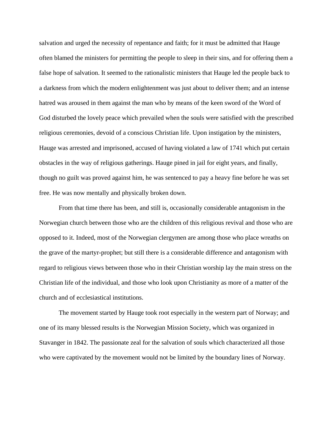salvation and urged the necessity of repentance and faith; for it must be admitted that Hauge often blamed the ministers for permitting the people to sleep in their sins, and for offering them a false hope of salvation. It seemed to the rationalistic ministers that Hauge led the people back to a darkness from which the modern enlightenment was just about to deliver them; and an intense hatred was aroused in them against the man who by means of the keen sword of the Word of God disturbed the lovely peace which prevailed when the souls were satisfied with the prescribed religious ceremonies, devoid of a conscious Christian life. Upon instigation by the ministers, Hauge was arrested and imprisoned, accused of having violated a law of 1741 which put certain obstacles in the way of religious gatherings. Hauge pined in jail for eight years, and finally, though no guilt was proved against him, he was sentenced to pay a heavy fine before he was set free. He was now mentally and physically broken down.

From that time there has been, and still is, occasionally considerable antagonism in the Norwegian church between those who are the children of this religious revival and those who are opposed to it. Indeed, most of the Norwegian clergymen are among those who place wreaths on the grave of the martyr-prophet; but still there is a considerable difference and antagonism with regard to religious views between those who in their Christian worship lay the main stress on the Christian life of the individual, and those who look upon Christianity as more of a matter of the church and of ecclesiastical institutions.

The movement started by Hauge took root especially in the western part of Norway; and one of its many blessed results is the Norwegian Mission Society, which was organized in Stavanger in 1842. The passionate zeal for the salvation of souls which characterized all those who were captivated by the movement would not be limited by the boundary lines of Norway.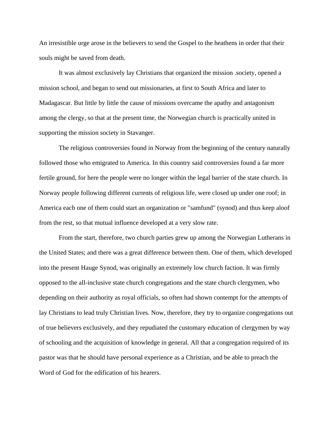An irresistible urge arose in the believers to send the Gospel to the heathens in order that their souls might be saved from death.

It was almost exclusively lay Christians that organized the mission .society, opened a mission school, and began to send out missionaries, at first to South Africa and later to Madagascar. But little by little the cause of missions overcame the apathy and antagonism among the clergy, so that at the present time, the Norwegian church is practically united in supporting the mission society in Stavanger.

The religious controversies found in Norway from the beginning of the century naturally followed those who emigrated to America. In this country said controversies found a far more fertile ground, for here the people were no longer within the legal barrier of the state church. In Norway people following different currents of religious life, were closed up under one roof; in America each one of them could start an organization or "samfund" (synod) and thus keep aloof from the rest, so that mutual influence developed at a very slow rate.

From the start, therefore, two church parties grew up among the Norwegian Lutherans in the United States; and there was a great difference between them. One of them, which developed into the present Hauge Synod, was originally an extremely low church faction. It was firmly opposed to the all-inclusive state church congregations and the state church clergymen, who depending on their authority as royal officials, so often had shown contempt for the attempts of lay Christians to lead truly Christian lives. Now, therefore, they try to organize congregations out of true believers exclusively, and they repudiated the customary education of clergymen by way of schooling and the acquisition of knowledge in general. All that a congregation required of its pastor was that he should have personal experience as a Christian, and be able to preach the Word of God for the edification of his hearers.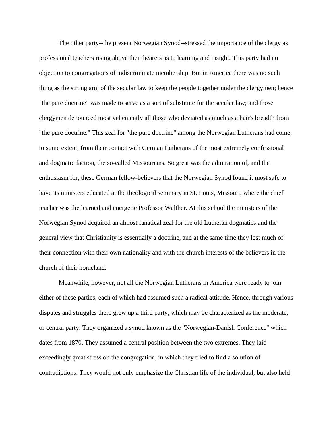The other party--the present Norwegian Synod--stressed the importance of the clergy as professional teachers rising above their hearers as to learning and insight. This party had no objection to congregations of indiscriminate membership. But in America there was no such thing as the strong arm of the secular law to keep the people together under the clergymen; hence "the pure doctrine" was made to serve as a sort of substitute for the secular law; and those clergymen denounced most vehemently all those who deviated as much as a hair's breadth from "the pure doctrine." This zeal for "the pure doctrine" among the Norwegian Lutherans had come, to some extent, from their contact with German Lutherans of the most extremely confessional and dogmatic faction, the so-called Missourians. So great was the admiration of, and the enthusiasm for, these German fellow-believers that the Norwegian Synod found it most safe to have its ministers educated at the theological seminary in St. Louis, Missouri, where the chief teacher was the learned and energetic Professor Walther. At this school the ministers of the Norwegian Synod acquired an almost fanatical zeal for the old Lutheran dogmatics and the general view that Christianity is essentially a doctrine, and at the same time they lost much of their connection with their own nationality and with the church interests of the believers in the church of their homeland.

Meanwhile, however, not all the Norwegian Lutherans in America were ready to join either of these parties, each of which had assumed such a radical attitude. Hence, through various disputes and struggles there grew up a third party, which may be characterized as the moderate, or central party. They organized a synod known as the "Norwegian-Danish Conference" which dates from 1870. They assumed a central position between the two extremes. They laid exceedingly great stress on the congregation, in which they tried to find a solution of contradictions. They would not only emphasize the Christian life of the individual, but also held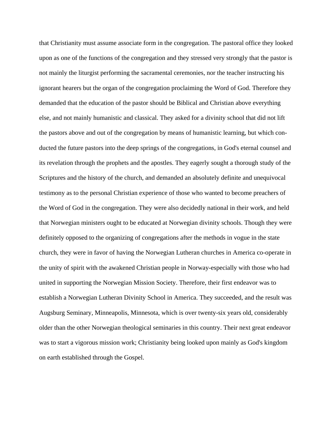that Christianity must assume associate form in the congregation. The pastoral office they looked upon as one of the functions of the congregation and they stressed very strongly that the pastor is not mainly the liturgist performing the sacramental ceremonies, nor the teacher instructing his ignorant hearers but the organ of the congregation proclaiming the Word of God. Therefore they demanded that the education of the pastor should be Biblical and Christian above everything else, and not mainly humanistic and classical. They asked for a divinity school that did not lift the pastors above and out of the congregation by means of humanistic learning, but which conducted the future pastors into the deep springs of the congregations, in God's eternal counsel and its revelation through the prophets and the apostles. They eagerly sought a thorough study of the Scriptures and the history of the church, and demanded an absolutely definite and unequivocal testimony as to the personal Christian experience of those who wanted to become preachers of the Word of God in the congregation. They were also decidedly national in their work, and held that Norwegian ministers ought to be educated at Norwegian divinity schools. Though they were definitely opposed to the organizing of congregations after the methods in vogue in the state church, they were in favor of having the Norwegian Lutheran churches in America co-operate in the unity of spirit with the awakened Christian people in Norway-especially with those who had united in supporting the Norwegian Mission Society. Therefore, their first endeavor was to establish a Norwegian Lutheran Divinity School in America. They succeeded, and the result was Augsburg Seminary, Minneapolis, Minnesota, which is over twenty-six years old, considerably older than the other Norwegian theological seminaries in this country. Their next great endeavor was to start a vigorous mission work; Christianity being looked upon mainly as God's kingdom on earth established through the Gospel.